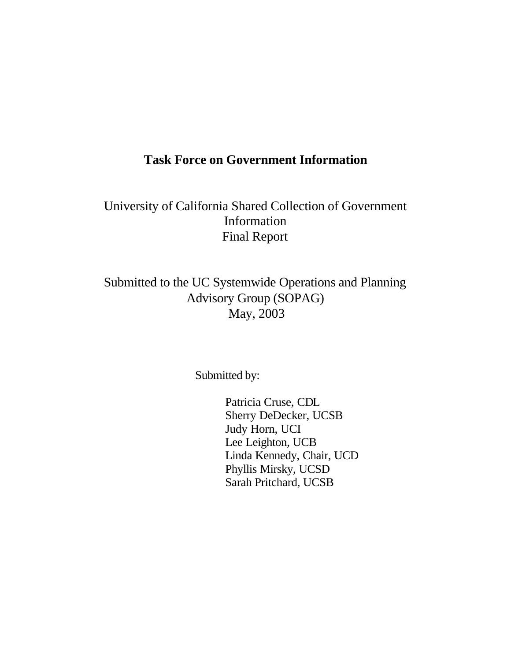# **Task Force on Government Information**

University of California Shared Collection of Government Information Final Report

Submitted to the UC Systemwide Operations and Planning Advisory Group (SOPAG) May, 2003

Submitted by:

Patricia Cruse, CDL Sherry DeDecker, UCSB Judy Horn, UCI Lee Leighton, UCB Linda Kennedy, Chair, UCD Phyllis Mirsky, UCSD Sarah Pritchard, UCSB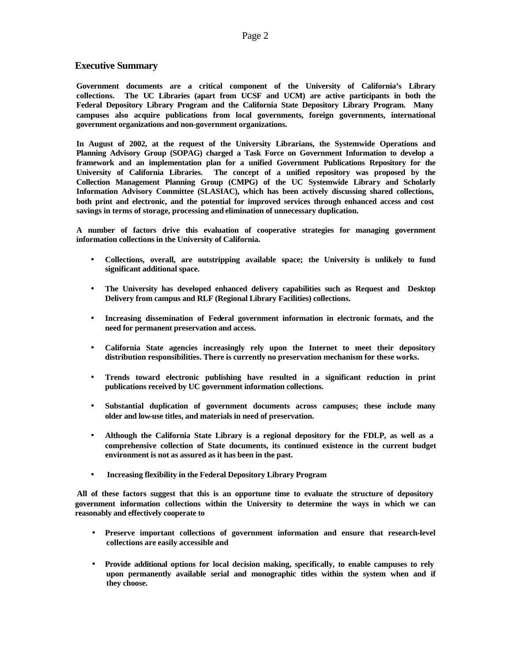### **Executive Summary**

**Government documents are a critical component of the University of California's Library collections. The UC Libraries (apart from UCSF and UCM) are active participants in both the Federal Depository Library Program and the California State Depository Library Program. Many campuses also acquire publications from local governments, foreign governments, international government organizations and non-government organizations.**

**In August of 2002, at the request of the University Librarians, the Systemwide Operations and Planning Advisory Group (SOPAG) charged a Task Force on Government Information to develop a framework and an implementation plan for a unified Government Publications Repository for the University of California Libraries. The concept of a unified repository was proposed by the Collection Management Planning Group (CMPG) of the UC Systemwide Library and Scholarly Information Advisory Committee (SLASIAC), which has been actively discussing shared collections, both print and electronic, and the potential for improved services through enhanced access and cost savings in terms of storage, processing and elimination of unnecessary duplication.** 

**A number of factors drive this evaluation of cooperative strategies for managing government information collections in the University of California.** 

- **Collections, overall, are outstripping available space; the University is unlikely to fund significant additional space.**
- **The University has developed enhanced delivery capabilities such as Request and Desktop Delivery from campus and RLF (Regional Library Facilities) collections.**
- **Increasing dissemination of Federal government information in electronic formats, and the need for permanent preservation and access.**
- **California State agencies increasingly rely upon the Internet to meet their depository distribution responsibilities. There is currently no preservation mechanism for these works.**
- **Trends toward electronic publishing have resulted in a significant reduction in print publications received by UC government information collections.**
- **Substantial duplication of government documents across campuses; these include many older and low-use titles, and materials in need of preservation.**
- **Although the California State Library is a regional depository for the FDLP, as well as a comprehensive collection of State documents, its continued existence in the current budget environment is not as assured as it has been in the past.**
- **Increasing flexibility in the Federal Depository Library Program**

**All of these factors suggest that this is an opportune time to evaluate the structure of depository government information collections within the University to determine the ways in which we can reasonably and effectively cooperate to** 

- **Preserve important collections of government information and ensure that research-level collections are easily accessible and**
- **Provide additional options for local decision making, specifically, to enable campuses to rely upon permanently available serial and monographic titles within the system when and if they choose.**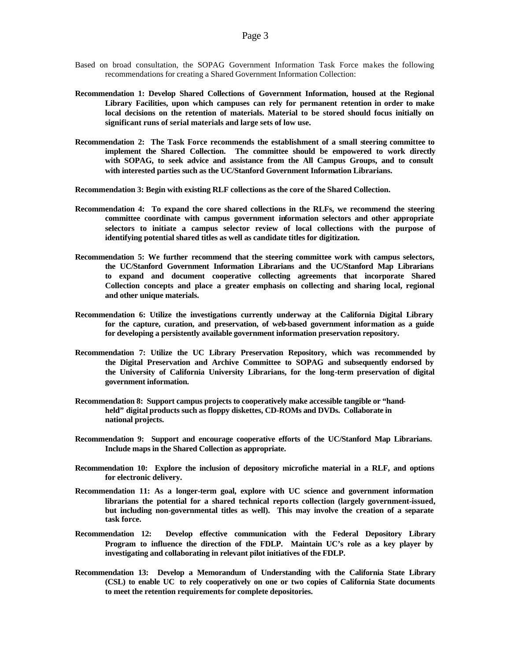- Based on broad consultation, the SOPAG Government Information Task Force makes the following recommendations for creating a Shared Government Information Collection:
- **Recommendation 1: Develop Shared Collections of Government Information, housed at the Regional Library Facilities, upon which campuses can rely for permanent retention in order to make local decisions on the retention of materials. Material to be stored should focus initially on significant runs of serial materials and large sets of low use.**
- **Recommendation 2: The Task Force recommends the establishment of a small steering committee to implement the Shared Collection. The committee should be empowered to work directly with SOPAG, to seek advice and assistance from the All Campus Groups, and to consult with interested parties such as the UC/Stanford Government Information Librarians.**
- **Recommendation 3: Begin with existing RLF collections as the core of the Shared Collection.**
- **Recommendation 4: To expand the core shared collections in the RLFs, we recommend the steering committee coordinate with campus government information selectors and other appropriate selectors to initiate a campus selector review of local collections with the purpose of identifying potential shared titles as well as candidate titles for digitization.**
- **Recommendation 5: We further recommend that the steering committee work with campus selectors, the UC/Stanford Government Information Librarians and the UC/Stanford Map Librarians to expand and document cooperative collecting agreements that incorporate Shared Collection concepts and place a greater emphasis on collecting and sharing local, regional and other unique materials.**
- **Recommendation 6: Utilize the investigations currently underway at the California Digital Library for the capture, curation, and preservation, of web-based government information as a guide for developing a persistently available government information preservation repository.**
- **Recommendation 7: Utilize the UC Library Preservation Repository, which was recommended by the Digital Preservation and Archive Committee to SOPAG and subsequently endorsed by the University of California University Librarians, for the long-term preservation of digital government information.**
- **Recommendation 8: Support campus projects to cooperatively make accessible tangible or "handheld" digital products such as floppy diskettes, CD-ROMs and DVDs. Collaborate in national projects.**
- **Recommendation 9: Support and encourage cooperative efforts of the UC/Stanford Map Librarians. Include maps in the Shared Collection as appropriate.**
- **Recommendation 10: Explore the inclusion of depository microfiche material in a RLF, and options for electronic delivery.**
- **Recommendation 11: As a longer-term goal, explore with UC science and government information librarians the potential for a shared technical reports collection (largely government-issued, but including non-governmental titles as well). This may involve the creation of a separate task force.**
- **Recommendation 12: Develop effective communication with the Federal Depository Library Program to influence the direction of the FDLP. Maintain UC's role as a key player by investigating and collaborating in relevant pilot initiatives of the FDLP.**
- **Recommendation 13: Develop a Memorandum of Understanding with the California State Library (CSL) to enable UC to rely cooperatively on one or two copies of California State documents to meet the retention requirements for complete depositories.**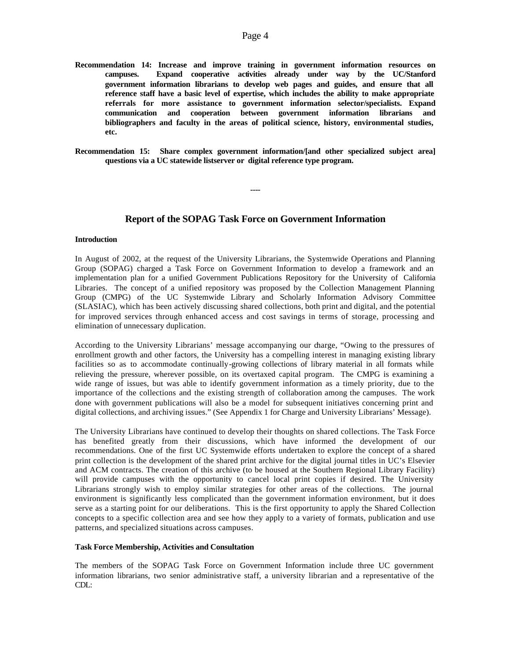- **Recommendation 14: Increase and improve training in government information resources on campuses. Expand cooperative activities already under way by the UC/Stanford government information librarians to develop web pages and guides, and ensure that all reference staff have a basic level of expertise, which includes the ability to make appropriate referrals for more assistance to government information selector/specialists. Expand communication and cooperation between government information librarians and bibliographers and faculty in the areas of political science, history, environmental studies, etc.**
- **Recommendation 15: Share complex government information/[and other specialized subject area] questions via a UC statewide listserver or digital reference type program.**

### **Report of the SOPAG Task Force on Government Information**

**----**

#### **Introduction**

In August of 2002, at the request of the University Librarians, the Systemwide Operations and Planning Group (SOPAG) charged a Task Force on Government Information to develop a framework and an implementation plan for a unified Government Publications Repository for the University of California Libraries. The concept of a unified repository was proposed by the Collection Management Planning Group (CMPG) of the UC Systemwide Library and Scholarly Information Advisory Committee (SLASIAC), which has been actively discussing shared collections, both print and digital, and the potential for improved services through enhanced access and cost savings in terms of storage, processing and elimination of unnecessary duplication.

According to the University Librarians' message accompanying our charge, "Owing to the pressures of enrollment growth and other factors, the University has a compelling interest in managing existing library facilities so as to accommodate continually-growing collections of library material in all formats while relieving the pressure, wherever possible, on its overtaxed capital program. The CMPG is examining a wide range of issues, but was able to identify government information as a timely priority, due to the importance of the collections and the existing strength of collaboration among the campuses. The work done with government publications will also be a model for subsequent initiatives concerning print and digital collections, and archiving issues." (See Appendix 1 for Charge and University Librarians' Message).

The University Librarians have continued to develop their thoughts on shared collections. The Task Force has benefited greatly from their discussions, which have informed the development of our recommendations. One of the first UC Systemwide efforts undertaken to explore the concept of a shared print collection is the development of the shared print archive for the digital journal titles in UC's Elsevier and ACM contracts. The creation of this archive (to be housed at the Southern Regional Library Facility) will provide campuses with the opportunity to cancel local print copies if desired. The University Librarians strongly wish to employ similar strategies for other areas of the collections. The journal environment is significantly less complicated than the government information environment, but it does serve as a starting point for our deliberations. This is the first opportunity to apply the Shared Collection concepts to a specific collection area and see how they apply to a variety of formats, publication and use patterns, and specialized situations across campuses.

### **Task Force Membership, Activities and Consultation**

The members of the SOPAG Task Force on Government Information include three UC government information librarians, two senior administrative staff, a university librarian and a representative of the CDL: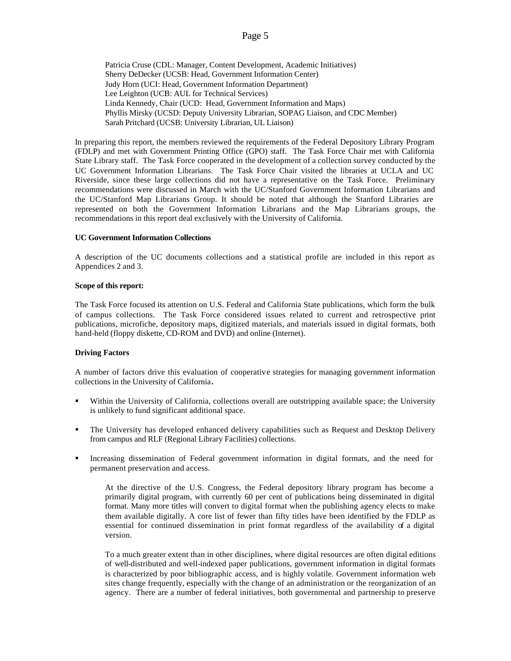Patricia Cruse (CDL: Manager, Content Development, Academic Initiatives) Sherry DeDecker (UCSB: Head, Government Information Center) Judy Horn (UCI: Head, Government Information Department) Lee Leighton (UCB: AUL for Technical Services) Linda Kennedy, Chair (UCD: Head, Government Information and Maps) Phyllis Mirsky (UCSD: Deputy University Librarian, SOPAG Liaison, and CDC Member) Sarah Pritchard (UCSB: University Librarian, UL Liaison)

In preparing this report, the members reviewed the requirements of the Federal Depository Library Program (FDLP) and met with Government Printing Office (GPO) staff. The Task Force Chair met with California State Library staff. The Task Force cooperated in the development of a collection survey conducted by the UC Government Information Librarians. The Task Force Chair visited the libraries at UCLA and UC Riverside, since these large collections did not have a representative on the Task Force. Preliminary recommendations were discussed in March with the UC/Stanford Government Information Librarians and the UC/Stanford Map Librarians Group. It should be noted that although the Stanford Libraries are represented on both the Government Information Librarians and the Map Librarians groups, the recommendations in this report deal exclusively with the University of California.

### **UC Government Information Collections**

A description of the UC documents collections and a statistical profile are included in this report as Appendices 2 and 3.

#### **Scope of this report:**

The Task Force focused its attention on U.S. Federal and California State publications, which form the bulk of campus collections. The Task Force considered issues related to current and retrospective print publications, microfiche, depository maps, digitized materials, and materials issued in digital formats, both hand-held (floppy diskette, CD-ROM and DVD) and online (Internet).

### **Driving Factors**

A number of factors drive this evaluation of cooperative strategies for managing government information collections in the University of California**.** 

- Within the University of California, collections overall are outstripping available space; the University is unlikely to fund significant additional space.
- ß The University has developed enhanced delivery capabilities such as Request and Desktop Delivery from campus and RLF (Regional Library Facilities) collections.
- ß Increasing dissemination of Federal government information in digital formats, and the need for permanent preservation and access.

At the directive of the U.S. Congress, the Federal depository library program has become a primarily digital program, with currently 60 per cent of publications being disseminated in digital format. Many more titles will convert to digital format when the publishing agency elects to make them available digitally. A core list of fewer than fifty titles have been identified by the FDLP as essential for continued dissemination in print format regardless of the availability of a digital version.

To a much greater extent than in other disciplines, where digital resources are often digital editions of well-distributed and well-indexed paper publications, government information in digital formats is characterized by poor bibliographic access, and is highly volatile. Government information web sites change frequently, especially with the change of an administration or the reorganization of an agency. There are a number of federal initiatives, both governmental and partnership to preserve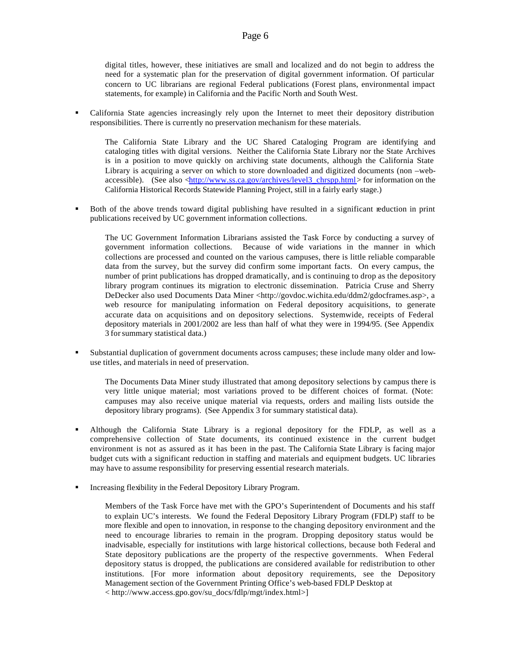digital titles, however, these initiatives are small and localized and do not begin to address the need for a systematic plan for the preservation of digital government information. Of particular concern to UC librarians are regional Federal publications (Forest plans, environmental impact statements, for example) in California and the Pacific North and South West.

ß California State agencies increasingly rely upon the Internet to meet their depository distribution responsibilities. There is currently no preservation mechanism for these materials.

The California State Library and the UC Shared Cataloging Program are identifying and cataloging titles with digital versions. Neither the California State Library nor the State Archives is in a position to move quickly on archiving state documents, although the California State Library is acquiring a server on which to store downloaded and digitized documents (non –webaccessible). (See also <http://www.ss.ca.gov/archives/level3\_chrspp.html> for information on the California Historical Records Statewide Planning Project, still in a fairly early stage.)

ß Both of the above trends toward digital publishing have resulted in a significant reduction in print publications received by UC government information collections.

The UC Government Information Librarians assisted the Task Force by conducting a survey of government information collections. Because of wide variations in the manner in which collections are processed and counted on the various campuses, there is little reliable comparable data from the survey, but the survey did confirm some important facts. On every campus, the number of print publications has dropped dramatically, and is continuing to drop as the depository library program continues its migration to electronic dissemination. Patricia Cruse and Sherry DeDecker also used Documents Data Miner <http://govdoc.wichita.edu/ddm2/gdocframes.asp>, a web resource for manipulating information on Federal depository acquisitions, to generate accurate data on acquisitions and on depository selections. Systemwide, receipts of Federal depository materials in 2001/2002 are less than half of what they were in 1994/95. (See Appendix 3 for summary statistical data.)

ß Substantial duplication of government documents across campuses; these include many older and lowuse titles, and materials in need of preservation.

The Documents Data Miner study illustrated that among depository selections by campus there is very little unique material; most variations proved to be different choices of format. (Note: campuses may also receive unique material via requests, orders and mailing lists outside the depository library programs). (See Appendix 3 for summary statistical data).

- ß Although the California State Library is a regional depository for the FDLP, as well as a comprehensive collection of State documents, its continued existence in the current budget environment is not as assured as it has been in the past. The California State Library is facing major budget cuts with a significant reduction in staffing and materials and equipment budgets. UC libraries may have to assume responsibility for preserving essential research materials.
- ß Increasing flexibility in the Federal Depository Library Program.

Members of the Task Force have met with the GPO's Superintendent of Documents and his staff to explain UC's interests. We found the Federal Depository Library Program (FDLP) staff to be more flexible and open to innovation, in response to the changing depository environment and the need to encourage libraries to remain in the program. Dropping depository status would be inadvisable, especially for institutions with large historical collections, because both Federal and State depository publications are the property of the respective governments. When Federal depository status is dropped, the publications are considered available for redistribution to other institutions. [For more information about depository requirements, see the Depository Management section of the Government Printing Office's web-based FDLP Desktop at < http://www.access.gpo.gov/su\_docs/fdlp/mgt/index.html>]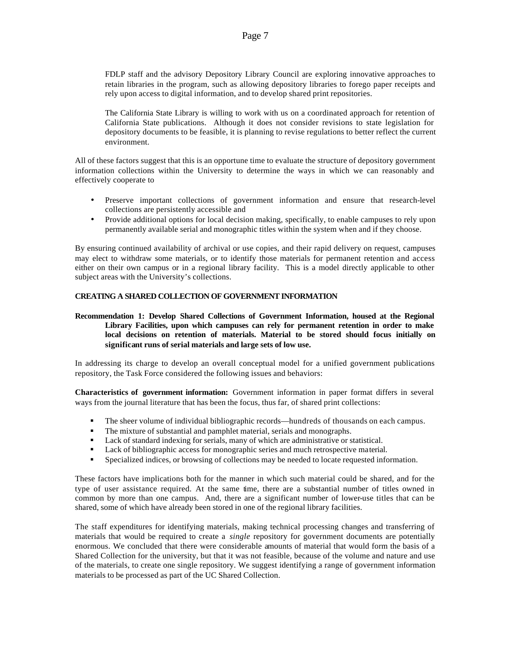FDLP staff and the advisory Depository Library Council are exploring innovative approaches to retain libraries in the program, such as allowing depository libraries to forego paper receipts and rely upon access to digital information, and to develop shared print repositories.

The California State Library is willing to work with us on a coordinated approach for retention of California State publications. Although it does not consider revisions to state legislation for depository documents to be feasible, it is planning to revise regulations to better reflect the current environment.

All of these factors suggest that this is an opportune time to evaluate the structure of depository government information collections within the University to determine the ways in which we can reasonably and effectively cooperate to

- Preserve important collections of government information and ensure that research-level collections are persistently accessible and
- Provide additional options for local decision making, specifically, to enable campuses to rely upon permanently available serial and monographic titles within the system when and if they choose.

By ensuring continued availability of archival or use copies, and their rapid delivery on request, campuses may elect to withdraw some materials, or to identify those materials for permanent retention and access either on their own campus or in a regional library facility. This is a model directly applicable to other subject areas with the University's collections.

### **CREATING A SHARED COLLECTION OF GOVERNMENT INFORMATION**

### **Recommendation 1: Develop Shared Collections of Government Information, housed at the Regional Library Facilities, upon which campuses can rely for permanent retention in order to make local decisions on retention of materials. Material to be stored should focus initially on significant runs of serial materials and large sets of low use.**

In addressing its charge to develop an overall conceptual model for a unified government publications repository, the Task Force considered the following issues and behaviors:

**Characteristics of government information:** Government information in paper format differs in several ways from the journal literature that has been the focus, thus far, of shared print collections:

- **•** The sheer volume of individual bibliographic records—hundreds of thousands on each campus.
- **•** The mixture of substantial and pamphlet material, serials and monographs.<br>• Lack of standard indexing for serials, many of which are administrative or s
- Lack of standard indexing for serials, many of which are administrative or statistical.
- Lack of bibliographic access for monographic series and much retrospective material.
- **•** Specialized indices, or browsing of collections may be needed to locate requested information.

These factors have implications both for the manner in which such material could be shared, and for the type of user assistance required. At the same time, there are a substantial number of titles owned in common by more than one campus. And, there are a significant number of lower-use titles that can be shared, some of which have already been stored in one of the regional library facilities.

The staff expenditures for identifying materials, making technical processing changes and transferring of materials that would be required to create a *single* repository for government documents are potentially enormous. We concluded that there were considerable amounts of material that would form the basis of a Shared Collection for the university, but that it was not feasible, because of the volume and nature and use of the materials, to create one single repository. We suggest identifying a range of government information materials to be processed as part of the UC Shared Collection.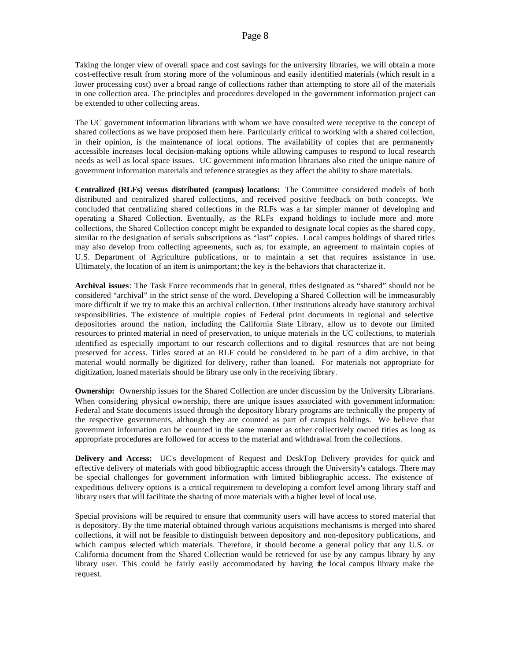Taking the longer view of overall space and cost savings for the university libraries, we will obtain a more cost-effective result from storing more of the voluminous and easily identified materials (which result in a lower processing cost) over a broad range of collections rather than attempting to store all of the materials in one collection area. The principles and procedures developed in the government information project can be extended to other collecting areas.

The UC government information librarians with whom we have consulted were receptive to the concept of shared collections as we have proposed them here. Particularly critical to working with a shared collection, in their opinion, is the maintenance of local options. The availability of copies that are permanently accessible increases local decision-making options while allowing campuses to respond to local research needs as well as local space issues. UC government information librarians also cited the unique nature of government information materials and reference strategies as they affect the ability to share materials.

**Centralized (RLFs) versus distributed (campus) locations:** The Committee considered models of both distributed and centralized shared collections, and received positive feedback on both concepts. We concluded that centralizing shared collections in the RLFs was a far simpler manner of developing and operating a Shared Collection. Eventually, as the RLFs expand holdings to include more and more collections, the Shared Collection concept might be expanded to designate local copies as the shared copy, similar to the designation of serials subscriptions as "last" copies. Local campus holdings of shared titles may also develop from collecting agreements, such as, for example, an agreement to maintain copies of U.S. Department of Agriculture publications, or to maintain a set that requires assistance in use. Ultimately, the location of an item is unimportant; the key is the behaviors that characterize it.

**Archival issues**: The Task Force recommends that in general, titles designated as "shared" should not be considered "archival" in the strict sense of the word. Developing a Shared Collection will be immeasurably more difficult if we try to make this an archival collection. Other institutions already have statutory archival responsibilities. The existence of multiple copies of Federal print documents in regional and selective depositories around the nation, including the California State Library, allow us to devote our limited resources to printed material in need of preservation, to unique materials in the UC collections, to materials identified as especially important to our research collections and to digital resources that are not being preserved for access. Titles stored at an RLF could be considered to be part of a dim archive, in that material would normally be digitized for delivery, rather than loaned. For materials not appropriate for digitization, loaned materials should be library use only in the receiving library.

**Ownership:** Ownership issues for the Shared Collection are under discussion by the University Librarians. When considering physical ownership, there are unique issues associated with government information: Federal and State documents issued through the depository library programs are technically the property of the respective governments, although they are counted as part of campus holdings. We believe that government information can be counted in the same manner as other collectively owned titles as long as appropriate procedures are followed for access to the material and withdrawal from the collections.

**Delivery and Access:** UC's development of Request and DeskTop Delivery provides for quick and effective delivery of materials with good bibliographic access through the University's catalogs. There may be special challenges for government information with limited bibliographic access. The existence of expeditious delivery options is a critical requirement to developing a comfort level among library staff and library users that will facilitate the sharing of more materials with a higher level of local use.

Special provisions will be required to ensure that community users will have access to stored material that is depository. By the time material obtained through various acquisitions mechanisms is merged into shared collections, it will not be feasible to distinguish between depository and non-depository publications, and which campus selected which materials. Therefore, it should become a general policy that any U.S. or California document from the Shared Collection would be retrieved for use by any campus library by any library user. This could be fairly easily accommodated by having the local campus library make the request.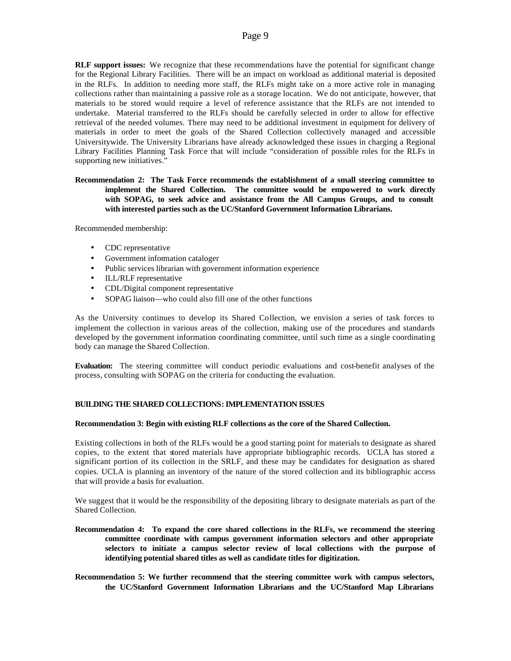**RLF support issues:** We recognize that these recommendations have the potential for significant change for the Regional Library Facilities. There will be an impact on workload as additional material is deposited in the RLFs. In addition to needing more staff, the RLFs might take on a more active role in managing collections rather than maintaining a passive role as a storage location. We do not anticipate, however, that materials to be stored would require a level of reference assistance that the RLFs are not intended to undertake. Material transferred to the RLFs should be carefully selected in order to allow for effective retrieval of the needed volumes. There may need to be additional investment in equipment for delivery of materials in order to meet the goals of the Shared Collection collectively managed and accessible Universitywide. The University Librarians have already acknowledged these issues in charging a Regional Library Facilities Planning Task Force that will include "consideration of possible roles for the RLFs in supporting new initiatives."

**Recommendation 2: The Task Force recommends the establishment of a small steering committee to implement the Shared Collection. The committee would be empowered to work directly with SOPAG, to seek advice and assistance from the All Campus Groups, and to consult with interested parties such as the UC/Stanford Government Information Librarians.**

Recommended membership:

- CDC representative
- Government information cataloger
- Public services librarian with government information experience
- ILL/RLF representative
- CDL/Digital component representative
- SOPAG liaison—who could also fill one of the other functions

As the University continues to develop its Shared Collection, we envision a series of task forces to implement the collection in various areas of the collection, making use of the procedures and standards developed by the government information coordinating committee, until such time as a single coordinating body can manage the Shared Collection.

**Evaluation:** The steering committee will conduct periodic evaluations and cost-benefit analyses of the process, consulting with SOPAG on the criteria for conducting the evaluation.

### **BUILDING THE SHARED COLLECTIONS: IMPLEMENTATION ISSUES**

### **Recommendation 3: Begin with existing RLF collections as the core of the Shared Collection.**

Existing collections in both of the RLFs would be a good starting point for materials to designate as shared copies, to the extent that stored materials have appropriate bibliographic records. UCLA has stored a significant portion of its collection in the SRLF, and these may be candidates for designation as shared copies. UCLA is planning an inventory of the nature of the stored collection and its bibliographic access that will provide a basis for evaluation.

We suggest that it would be the responsibility of the depositing library to designate materials as part of the Shared Collection.

- **Recommendation 4: To expand the core shared collections in the RLFs, we recommend the steering committee coordinate with campus government information selectors and other appropriate selectors to initiate a campus selector review of local collections with the purpose of identifying potential shared titles as well as candidate titles for digitization.**
- **Recommendation 5: We further recommend that the steering committee work with campus selectors, the UC/Stanford Government Information Librarians and the UC/Stanford Map Librarians**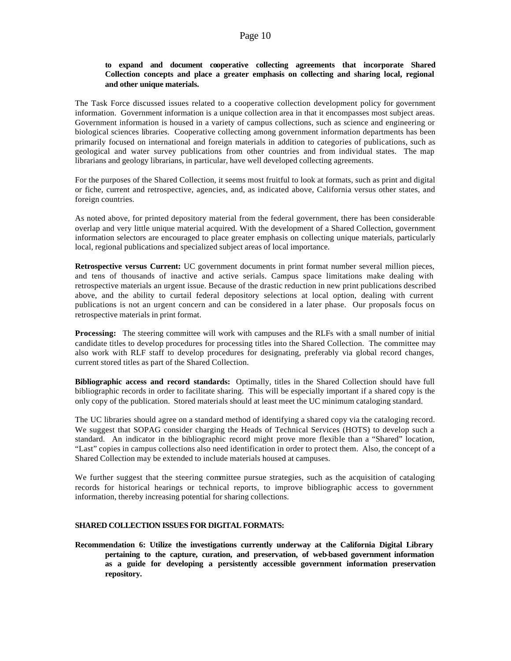### **to expand and document cooperative collecting agreements that incorporate Shared Collection concepts and place a greater emphasis on collecting and sharing local, regional and other unique materials.**

The Task Force discussed issues related to a cooperative collection development policy for government information. Government information is a unique collection area in that it encompasses most subject areas. Government information is housed in a variety of campus collections, such as science and engineering or biological sciences libraries. Cooperative collecting among government information departments has been primarily focused on international and foreign materials in addition to categories of publications, such as geological and water survey publications from other countries and from individual states. The map librarians and geology librarians, in particular, have well developed collecting agreements.

For the purposes of the Shared Collection, it seems most fruitful to look at formats, such as print and digital or fiche, current and retrospective, agencies, and, as indicated above, California versus other states, and foreign countries.

As noted above, for printed depository material from the federal government, there has been considerable overlap and very little unique material acquired. With the development of a Shared Collection, government information selectors are encouraged to place greater emphasis on collecting unique materials, particularly local, regional publications and specialized subject areas of local importance.

**Retrospective versus Current:** UC government documents in print format number several million pieces, and tens of thousands of inactive and active serials. Campus space limitations make dealing with retrospective materials an urgent issue. Because of the drastic reduction in new print publications described above, and the ability to curtail federal depository selections at local option, dealing with current publications is not an urgent concern and can be considered in a later phase. Our proposals focus on retrospective materials in print format.

**Processing:** The steering committee will work with campuses and the RLFs with a small number of initial candidate titles to develop procedures for processing titles into the Shared Collection. The committee may also work with RLF staff to develop procedures for designating, preferably via global record changes, current stored titles as part of the Shared Collection.

**Bibliographic access and record standards:** Optimally, titles in the Shared Collection should have full bibliographic records in order to facilitate sharing. This will be especially important if a shared copy is the only copy of the publication. Stored materials should at least meet the UC minimum cataloging standard.

The UC libraries should agree on a standard method of identifying a shared copy via the cataloging record. We suggest that SOPAG consider charging the Heads of Technical Services (HOTS) to develop such a standard. An indicator in the bibliographic record might prove more flexible than a "Shared" location, "Last" copies in campus collections also need identification in order to protect them. Also, the concept of a Shared Collection may be extended to include materials housed at campuses.

We further suggest that the steering committee pursue strategies, such as the acquisition of cataloging records for historical hearings or technical reports, to improve bibliographic access to government information, thereby increasing potential for sharing collections.

### **SHARED COLLECTION ISSUES FOR DIGITAL FORMATS:**

**Recommendation 6: Utilize the investigations currently underway at the California Digital Library pertaining to the capture, curation, and preservation, of web-based government information as a guide for developing a persistently accessible government information preservation repository.**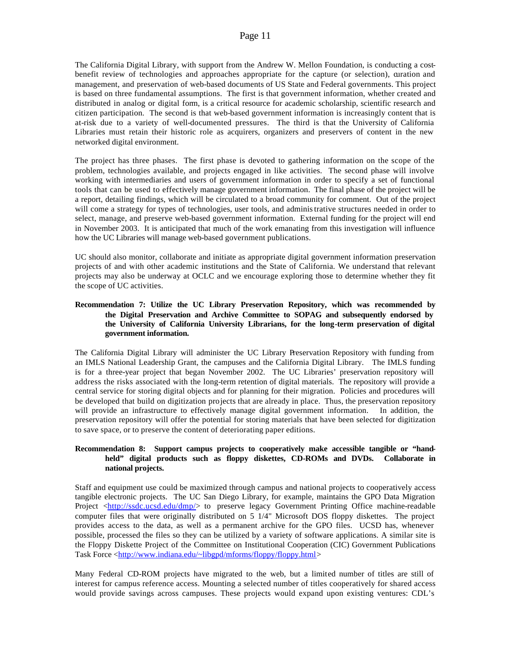The California Digital Library, with support from the Andrew W. Mellon Foundation, is conducting a costbenefit review of technologies and approaches appropriate for the capture (or selection), curation and management, and preservation of web-based documents of US State and Federal governments. This project is based on three fundamental assumptions. The first is that government information, whether created and distributed in analog or digital form, is a critical resource for academic scholarship, scientific research and citizen participation. The second is that web-based government information is increasingly content that is at-risk due to a variety of well-documented pressures. The third is that the University of California Libraries must retain their historic role as acquirers, organizers and preservers of content in the new networked digital environment.

The project has three phases. The first phase is devoted to gathering information on the scope of the problem, technologies available, and projects engaged in like activities. The second phase will involve working with intermediaries and users of government information in order to specify a set of functional tools that can be used to effectively manage government information. The final phase of the project will be a report, detailing findings, which will be circulated to a broad community for comment. Out of the project will come a strategy for types of technologies, user tools, and administrative structures needed in order to select, manage, and preserve web-based government information. External funding for the project will end in November 2003. It is anticipated that much of the work emanating from this investigation will influence how the UC Libraries will manage web-based government publications.

UC should also monitor, collaborate and initiate as appropriate digital government information preservation projects of and with other academic institutions and the State of California. We understand that relevant projects may also be underway at OCLC and we encourage exploring those to determine whether they fit the scope of UC activities.

### **Recommendation 7: Utilize the UC Library Preservation Repository, which was recommended by the Digital Preservation and Archive Committee to SOPAG and subsequently endorsed by the University of California University Librarians, for the long-term preservation of digital government information.**

The California Digital Library will administer the UC Library Preservation Repository with funding from an IMLS National Leadership Grant, the campuses and the California Digital Library. The IMLS funding is for a three-year project that began November 2002. The UC Libraries' preservation repository will address the risks associated with the long-term retention of digital materials. The repository will provide a central service for storing digital objects and for planning for their migration. Policies and procedures will be developed that build on digitization projects that are already in place. Thus, the preservation repository will provide an infrastructure to effectively manage digital government information. In addition, the preservation repository will offer the potential for storing materials that have been selected for digitization to save space, or to preserve the content of deteriorating paper editions.

### **Recommendation 8: Support campus projects to cooperatively make accessible tangible or "handheld" digital products such as floppy diskettes, CD-ROMs and DVDs. Collaborate in national projects.**

Staff and equipment use could be maximized through campus and national projects to cooperatively access tangible electronic projects. The UC San Diego Library, for example, maintains the GPO Data Migration Project <http://ssdc.ucsd.edu/dmp/> to preserve legacy Government Printing Office machine-readable computer files that were originally distributed on 5 1/4" Microsoft DOS floppy diskettes. The project provides access to the data, as well as a permanent archive for the GPO files. UCSD has, whenever possible, processed the files so they can be utilized by a variety of software applications. A similar site is the Floppy Diskette Project of the Committee on Institutional Cooperation (CIC) Government Publications Task Force <http://www.indiana.edu/~libgpd/mforms/floppy/floppy.html>

Many Federal CD-ROM projects have migrated to the web, but a limited number of titles are still of interest for campus reference access. Mounting a selected number of titles cooperatively for shared access would provide savings across campuses. These projects would expand upon existing ventures: CDL's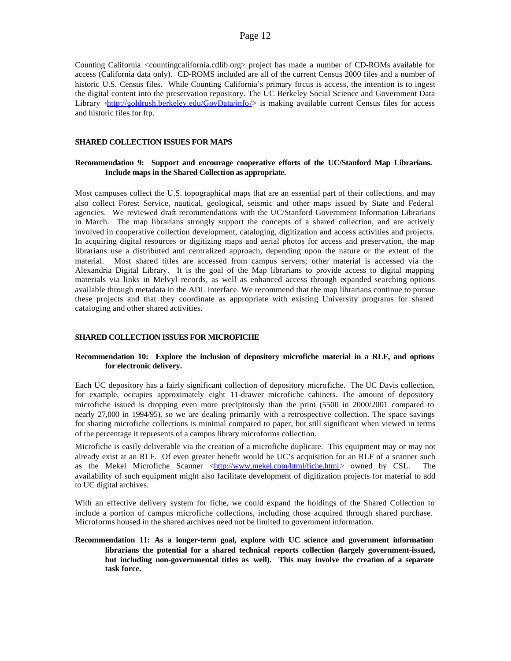Counting California <countingcalifornia.cdlib.org> project has made a number of CD-ROMs available for access (California data only). CD-ROMS included are all of the current Census 2000 files and a number of historic U.S. Census files. While Counting California's primary focus is access, the intention is to ingest the digital content into the preservation repository. The UC Berkeley Social Science and Government Data Library  $\text{d}t$ ttp://goldrush.berkeley.edu/GovData/info/> is making available current Census files for access and historic files for ftp.

### **SHARED COLLECTION ISSUES FOR MAPS**

### **Recommendation 9: Support and encourage cooperative efforts of the UC/Stanford Map Librarians. Include maps in the Shared Collection as appropriate.**

Most campuses collect the U.S. topographical maps that are an essential part of their collections, and may also collect Forest Service, nautical, geological, seismic and other maps issued by State and Federal agencies. We reviewed draft recommendations with the UC/Stanford Government Information Librarians in March. The map librarians strongly support the concepts of a shared collection, and are actively involved in cooperative collection development, cataloging, digitization and access activities and projects. In acquiring digital resources or digitizing maps and aerial photos for access and preservation, the map librarians use a distributed and centralized approach, depending upon the nature or the extent of the material. Most shared titles are accessed from campus servers; other material is accessed via the Alexandria Digital Library. It is the goal of the Map librarians to provide access to digital mapping materials via links in Melvyl records, as well as enhanced access through expanded searching options available through metadata in the ADL interface. We recommend that the map librarians continue to pursue these projects and that they coordinate as appropriate with existing University programs for shared cataloging and other shared activities.

#### **SHARED COLLECTION ISSUES FOR MICROFICHE**

### **Recommendation 10: Explore the inclusion of depository microfiche material in a RLF, and options for electronic delivery.**

Each UC depository has a fairly significant collection of depository microfiche. The UC Davis collection, for example, occupies approximately eight 11-drawer microfiche cabinets. The amount of depository microfiche issued is dropping even more precipitously than the print (5500 in 2000/2001 compared to nearly 27,000 in 1994/95), so we are dealing primarily with a retrospective collection. The space savings for sharing microfiche collections is minimal compared to paper, but still significant when viewed in terms of the percentage it represents of a campus library microforms collection.

Microfiche is easily deliverable via the creation of a microfiche duplicate. This equipment may or may not already exist at an RLF. Of even greater benefit would be UC's acquisition for an RLF of a scanner such as the Mekel Microfiche Scanner <http://www.mekel.com/html/fiche.html> owned by CSL. The availability of such equipment might also facilitate development of digitization projects for material to add to UC digital archives.

With an effective delivery system for fiche, we could expand the holdings of the Shared Collection to include a portion of campus microfiche collections, including those acquired through shared purchase. Microforms housed in the shared archives need not be limited to government information.

**Recommendation 11: As a longer-term goal, explore with UC science and government information librarians the potential for a shared technical reports collection (largely government-issued, but including non-governmental titles as well). This may involve the creation of a separate task force.**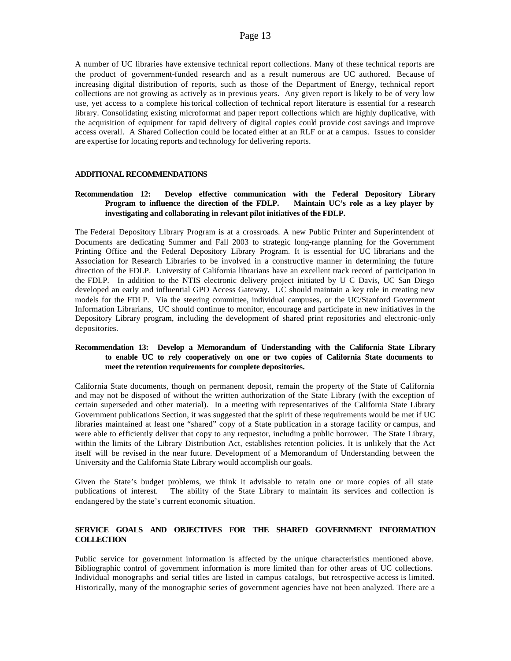A number of UC libraries have extensive technical report collections. Many of these technical reports are the product of government-funded research and as a result numerous are UC authored. Because of increasing digital distribution of reports, such as those of the Department of Energy, technical report collections are not growing as actively as in previous years. Any given report is likely to be of very low use, yet access to a complete historical collection of technical report literature is essential for a research library. Consolidating existing microformat and paper report collections which are highly duplicative, with the acquisition of equipment for rapid delivery of digital copies could provide cost savings and improve access overall. A Shared Collection could be located either at an RLF or at a campus. Issues to consider are expertise for locating reports and technology for delivering reports.

### **ADDITIONAL RECOMMENDATIONS**

### **Recommendation 12: Develop effective communication with the Federal Depository Library Program to influence the direction of the FDLP. Maintain UC's role as a key player by investigating and collaborating in relevant pilot initiatives of the FDLP.**

The Federal Depository Library Program is at a crossroads. A new Public Printer and Superintendent of Documents are dedicating Summer and Fall 2003 to strategic long-range planning for the Government Printing Office and the Federal Depository Library Program. It is essential for UC librarians and the Association for Research Libraries to be involved in a constructive manner in determining the future direction of the FDLP. University of California librarians have an excellent track record of participation in the FDLP. In addition to the NTIS electronic delivery project initiated by U C Davis, UC San Diego developed an early and influential GPO Access Gateway. UC should maintain a key role in creating new models for the FDLP. Via the steering committee, individual campuses, or the UC/Stanford Government Information Librarians, UC should continue to monitor, encourage and participate in new initiatives in the Depository Library program, including the development of shared print repositories and electronic-only depositories.

### **Recommendation 13: Develop a Memorandum of Understanding with the California State Library to enable UC to rely cooperatively on one or two copies of California State documents to meet the retention requirements for complete depositories.**

California State documents, though on permanent deposit, remain the property of the State of California and may not be disposed of without the written authorization of the State Library (with the exception of certain superseded and other material). In a meeting with representatives of the California State Library Government publications Section, it was suggested that the spirit of these requirements would be met if UC libraries maintained at least one "shared" copy of a State publication in a storage facility or campus, and were able to efficiently deliver that copy to any requestor, including a public borrower. The State Library, within the limits of the Library Distribution Act, establishes retention policies. It is unlikely that the Act itself will be revised in the near future. Development of a Memorandum of Understanding between the University and the California State Library would accomplish our goals.

Given the State's budget problems, we think it advisable to retain one or more copies of all state publications of interest. The ability of the State Library to maintain its services and collection is endangered by the state's current economic situation.

## **SERVICE GOALS AND OBJECTIVES FOR THE SHARED GOVERNMENT INFORMATION COLLECTION**

Public service for government information is affected by the unique characteristics mentioned above. Bibliographic control of government information is more limited than for other areas of UC collections. Individual monographs and serial titles are listed in campus catalogs, but retrospective access is limited. Historically, many of the monographic series of government agencies have not been analyzed. There are a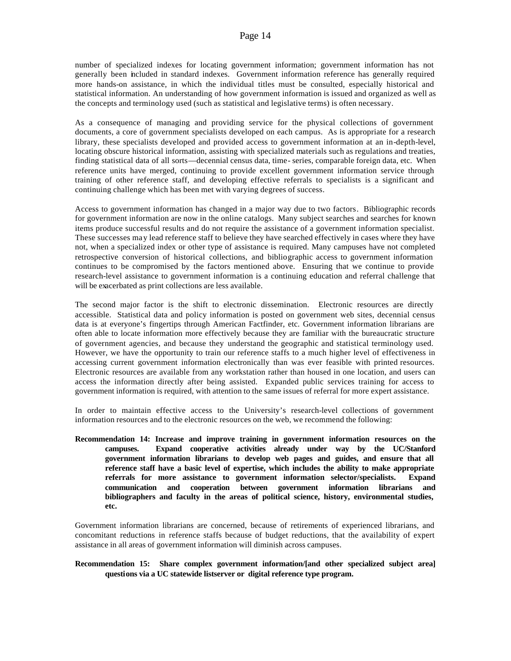number of specialized indexes for locating government information; government information has not generally been included in standard indexes. Government information reference has generally required more hands-on assistance, in which the individual titles must be consulted, especially historical and statistical information. An understanding of how government information is issued and organized as well as the concepts and terminology used (such as statistical and legislative terms) is often necessary.

As a consequence of managing and providing service for the physical collections of government documents, a core of government specialists developed on each campus. As is appropriate for a research library, these specialists developed and provided access to government information at an in-depth-level, locating obscure historical information, assisting with specialized materials such as regulations and treaties, finding statistical data of all sorts—decennial census data, time- series, comparable foreign data, etc. When reference units have merged, continuing to provide excellent government information service through training of other reference staff, and developing effective referrals to specialists is a significant and continuing challenge which has been met with varying degrees of success.

Access to government information has changed in a major way due to two factors. Bibliographic records for government information are now in the online catalogs. Many subject searches and searches for known items produce successful results and do not require the assistance of a government information specialist. These successes may lead reference staff to believe they have searched effectively in cases where they have not, when a specialized index or other type of assistance is required. Many campuses have not completed retrospective conversion of historical collections, and bibliographic access to government information continues to be compromised by the factors mentioned above. Ensuring that we continue to provide research-level assistance to government information is a continuing education and referral challenge that will be exacerbated as print collections are less available.

The second major factor is the shift to electronic dissemination. Electronic resources are directly accessible. Statistical data and policy information is posted on government web sites, decennial census data is at everyone's fingertips through American Factfinder, etc. Government information librarians are often able to locate information more effectively because they are familiar with the bureaucratic structure of government agencies, and because they understand the geographic and statistical terminology used. However, we have the opportunity to train our reference staffs to a much higher level of effectiveness in accessing current government information electronically than was ever feasible with printed resources. Electronic resources are available from any workstation rather than housed in one location, and users can access the information directly after being assisted. Expanded public services training for access to government information is required, with attention to the same issues of referral for more expert assistance.

In order to maintain effective access to the University's research-level collections of government information resources and to the electronic resources on the web, we recommend the following:

**Recommendation 14: Increase and improve training in government information resources on the campuses. Expand cooperative activities already under way by the UC/Stanford government information librarians to develop web pages and guides, and ensure that all reference staff have a basic level of expertise, which includes the ability to make appropriate referrals for more assistance to government information selector/specialists. Expand communication and cooperation between government information librarians and bibliographers and faculty in the areas of political science, history, environmental studies, etc.**

Government information librarians are concerned, because of retirements of experienced librarians, and concomitant reductions in reference staffs because of budget reductions, that the availability of expert assistance in all areas of government information will diminish across campuses.

### **Recommendation 15: Share complex government information/[and other specialized subject area] questions via a UC statewide listserver or digital reference type program.**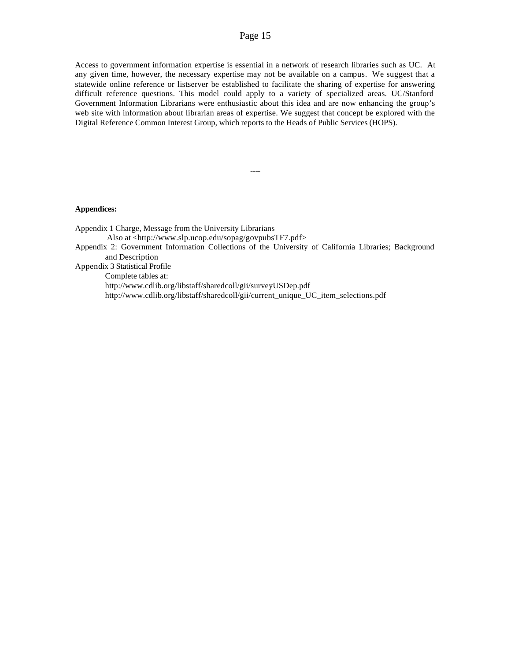Access to government information expertise is essential in a network of research libraries such as UC. At any given time, however, the necessary expertise may not be available on a campus. We suggest that a statewide online reference or listserver be established to facilitate the sharing of expertise for answering difficult reference questions. This model could apply to a variety of specialized areas. UC/Stanford Government Information Librarians were enthusiastic about this idea and are now enhancing the group's web site with information about librarian areas of expertise. We suggest that concept be explored with the Digital Reference Common Interest Group, which reports to the Heads of Public Services (HOPS).

**----**

### **Appendices:**

Appendix 1 Charge, Message from the University Librarians Also at <http://www.slp.ucop.edu/sopag/govpubsTF7.pdf> Appendix 2: Government Information Collections of the University of California Libraries; Background and Description Appendix 3 Statistical Profile Complete tables at: http://www.cdlib.org/libstaff/sharedcoll/gii/surveyUSDep.pdf http://www.cdlib.org/libstaff/sharedcoll/gii/current\_unique\_UC\_item\_selections.pdf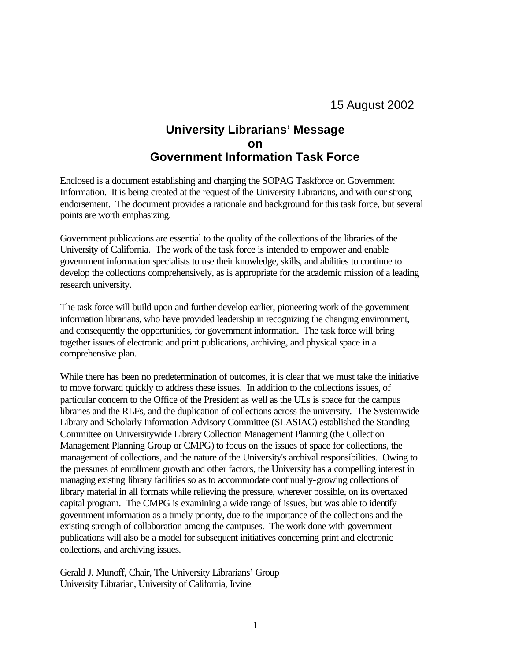# **University Librarians' Message on Government Information Task Force**

Enclosed is a document establishing and charging the SOPAG Taskforce on Government Information. It is being created at the request of the University Librarians, and with our strong endorsement. The document provides a rationale and background for this task force, but several points are worth emphasizing.

Government publications are essential to the quality of the collections of the libraries of the University of California. The work of the task force is intended to empower and enable government information specialists to use their knowledge, skills, and abilities to continue to develop the collections comprehensively, as is appropriate for the academic mission of a leading research university.

The task force will build upon and further develop earlier, pioneering work of the government information librarians, who have provided leadership in recognizing the changing environment, and consequently the opportunities, for government information. The task force will bring together issues of electronic and print publications, archiving, and physical space in a comprehensive plan.

While there has been no predetermination of outcomes, it is clear that we must take the initiative to move forward quickly to address these issues. In addition to the collections issues, of particular concern to the Office of the President as well as the ULs is space for the campus libraries and the RLFs, and the duplication of collections across the university. The Systemwide Library and Scholarly Information Advisory Committee (SLASIAC) established the Standing Committee on Universitywide Library Collection Management Planning (the Collection Management Planning Group or CMPG) to focus on the issues of space for collections, the management of collections, and the nature of the University's archival responsibilities. Owing to the pressures of enrollment growth and other factors, the University has a compelling interest in managing existing library facilities so as to accommodate continually-growing collections of library material in all formats while relieving the pressure, wherever possible, on its overtaxed capital program. The CMPG is examining a wide range of issues, but was able to identify government information as a timely priority, due to the importance of the collections and the existing strength of collaboration among the campuses. The work done with government publications will also be a model for subsequent initiatives concerning print and electronic collections, and archiving issues.

Gerald J. Munoff, Chair, The University Librarians' Group University Librarian, University of California, Irvine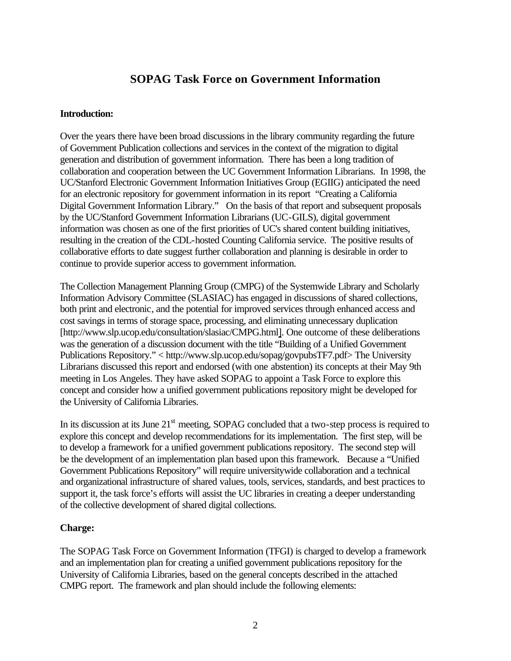# **SOPAG Task Force on Government Information**

# **Introduction:**

Over the years there have been broad discussions in the library community regarding the future of Government Publication collections and services in the context of the migration to digital generation and distribution of government information. There has been a long tradition of collaboration and cooperation between the UC Government Information Librarians. In 1998, the UC/Stanford Electronic Government Information Initiatives Group (EGIIG) anticipated the need for an electronic repository for government information in its report "Creating a California Digital Government Information Library." On the basis of that report and subsequent proposals by the UC/Stanford Government Information Librarians (UC-GILS), digital government information was chosen as one of the first priorities of UC's shared content building initiatives, resulting in the creation of the CDL-hosted Counting California service. The positive results of collaborative efforts to date suggest further collaboration and planning is desirable in order to continue to provide superior access to government information.

The Collection Management Planning Group (CMPG) of the Systemwide Library and Scholarly Information Advisory Committee (SLASIAC) has engaged in discussions of shared collections, both print and electronic, and the potential for improved services through enhanced access and cost savings in terms of storage space, processing, and eliminating unnecessary duplication [http://www.slp.ucop.edu/consultation/slasiac/CMPG.html]. One outcome of these deliberations was the generation of a discussion document with the title "Building of a Unified Government Publications Repository." < http://www.slp.ucop.edu/sopag/govpubsTF7.pdf> The University Librarians discussed this report and endorsed (with one abstention) its concepts at their May 9th meeting in Los Angeles. They have asked SOPAG to appoint a Task Force to explore this concept and consider how a unified government publications repository might be developed for the University of California Libraries.

In its discussion at its June 21<sup>st</sup> meeting, SOPAG concluded that a two-step process is required to explore this concept and develop recommendations for its implementation. The first step, will be to develop a framework for a unified government publications repository. The second step will be the development of an implementation plan based upon this framework. Because a "Unified Government Publications Repository" will require universitywide collaboration and a technical and organizational infrastructure of shared values, tools, services, standards, and best practices to support it, the task force's efforts will assist the UC libraries in creating a deeper understanding of the collective development of shared digital collections.

# **Charge:**

The SOPAG Task Force on Government Information (TFGI) is charged to develop a framework and an implementation plan for creating a unified government publications repository for the University of California Libraries, based on the general concepts described in the attached CMPG report. The framework and plan should include the following elements: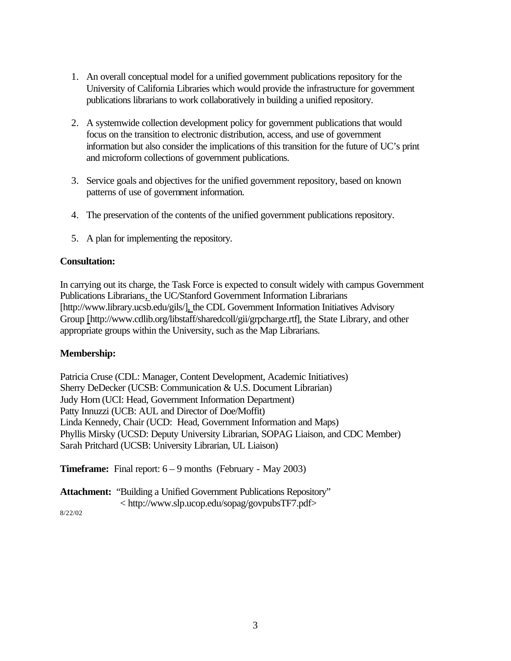- 1. An overall conceptual model for a unified government publications repository for the University of California Libraries which would provide the infrastructure for government publications librarians to work collaboratively in building a unified repository.
- 2. A systemwide collection development policy for government publications that would focus on the transition to electronic distribution, access, and use of government information but also consider the implications of this transition for the future of UC's print and microform collections of government publications.
- 3. Service goals and objectives for the unified government repository, based on known patterns of use of government information.
- 4. The preservation of the contents of the unified government publications repository.
- 5. A plan for implementing the repository.

# **Consultation:**

In carrying out its charge, the Task Force is expected to consult widely with campus Government Publications Librarians, the UC/Stanford Government Information Librarians [http://www.library.ucsb.edu/gils/], the CDL Government Information Initiatives Advisory Group [http://www.cdlib.org/libstaff/sharedcoll/gii/grpcharge.rtf], the State Library, and other appropriate groups within the University, such as the Map Librarians.

# **Membership:**

Patricia Cruse (CDL: Manager, Content Development, Academic Initiatives) Sherry DeDecker (UCSB: Communication & U.S. Document Librarian) Judy Horn (UCI: Head, Government Information Department) Patty Innuzzi (UCB: AUL and Director of Doe/Moffit) Linda Kennedy, Chair (UCD: Head, Government Information and Maps) Phyllis Mirsky (UCSD: Deputy University Librarian, SOPAG Liaison, and CDC Member) Sarah Pritchard (UCSB: University Librarian, UL Liaison)

**Timeframe:** Final report:  $6 - 9$  months (February - May 2003)

**Attachment:** "Building a Unified Government Publications Repository" < http://www.slp.ucop.edu/sopag/govpubsTF7.pdf>

8/22/02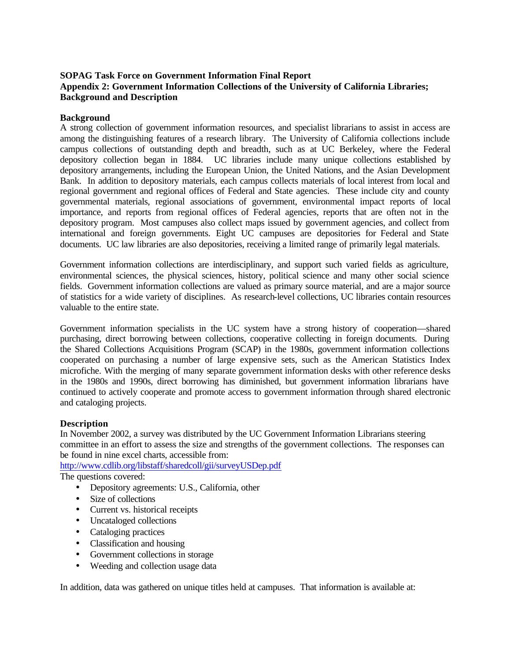# **SOPAG Task Force on Government Information Final Report Appendix 2: Government Information Collections of the University of California Libraries; Background and Description**

## **Background**

A strong collection of government information resources, and specialist librarians to assist in access are among the distinguishing features of a research library. The University of California collections include campus collections of outstanding depth and breadth, such as at UC Berkeley, where the Federal depository collection began in 1884. UC libraries include many unique collections established by depository arrangements, including the European Union, the United Nations, and the Asian Development Bank. In addition to depository materials, each campus collects materials of local interest from local and regional government and regional offices of Federal and State agencies. These include city and county governmental materials, regional associations of government, environmental impact reports of local importance, and reports from regional offices of Federal agencies, reports that are often not in the depository program. Most campuses also collect maps issued by government agencies, and collect from international and foreign governments. Eight UC campuses are depositories for Federal and State documents. UC law libraries are also depositories, receiving a limited range of primarily legal materials.

Government information collections are interdisciplinary, and support such varied fields as agriculture, environmental sciences, the physical sciences, history, political science and many other social science fields. Government information collections are valued as primary source material, and are a major source of statistics for a wide variety of disciplines. As research-level collections, UC libraries contain resources valuable to the entire state.

Government information specialists in the UC system have a strong history of cooperation—shared purchasing, direct borrowing between collections, cooperative collecting in foreign documents. During the Shared Collections Acquisitions Program (SCAP) in the 1980s, government information collections cooperated on purchasing a number of large expensive sets, such as the American Statistics Index microfiche. With the merging of many separate government information desks with other reference desks in the 1980s and 1990s, direct borrowing has diminished, but government information librarians have continued to actively cooperate and promote access to government information through shared electronic and cataloging projects.

## **Description**

In November 2002, a survey was distributed by the UC Government Information Librarians steering committee in an effort to assess the size and strengths of the government collections. The responses can be found in nine excel charts, accessible from:

http://www.cdlib.org/libstaff/sharedcoll/gii/surveyUSDep.pdf

The questions covered:

- Depository agreements: U.S., California, other
- Size of collections
- Current vs. historical receipts
- Uncataloged collections
- Cataloging practices
- Classification and housing
- Government collections in storage
- Weeding and collection usage data

In addition, data was gathered on unique titles held at campuses. That information is available at: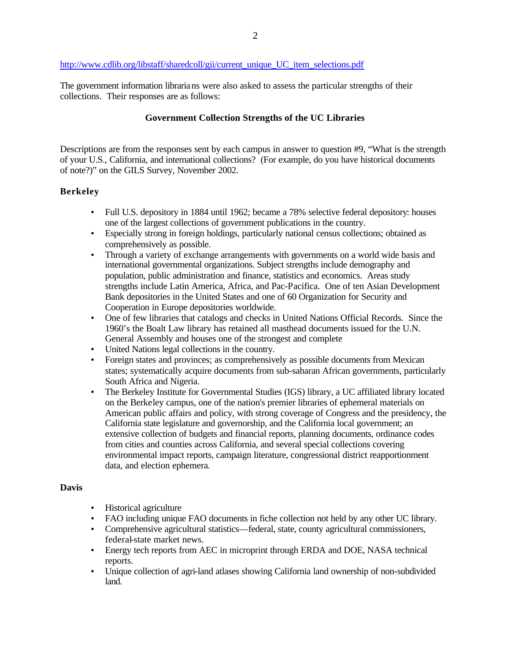# http://www.cdlib.org/libstaff/sharedcoll/gii/current\_unique\_UC\_item\_selections.pdf

The government information librarians were also asked to assess the particular strengths of their collections. Their responses are as follows:

## **Government Collection Strengths of the UC Libraries**

Descriptions are from the responses sent by each campus in answer to question #9, "What is the strength of your U.S., California, and international collections? (For example, do you have historical documents of note?)" on the GILS Survey, November 2002.

# **Berkeley**

- Full U.S. depository in 1884 until 1962; became a 78% selective federal depository: houses one of the largest collections of government publications in the country.
- Especially strong in foreign holdings, particularly national census collections; obtained as comprehensively as possible.
- Through a variety of exchange arrangements with governments on a world wide basis and international governmental organizations. Subject strengths include demography and population, public administration and finance, statistics and economics. Areas study strengths include Latin America, Africa, and Pac-Pacifica. One of ten Asian Development Bank depositories in the United States and one of 60 Organization for Security and Cooperation in Europe depositories worldwide.
- One of few libraries that catalogs and checks in United Nations Official Records. Since the 1960's the Boalt Law library has retained all masthead documents issued for the U.N. General Assembly and houses one of the strongest and complete
- United Nations legal collections in the country.
- Foreign states and provinces; as comprehensively as possible documents from Mexican states; systematically acquire documents from sub-saharan African governments, particularly South Africa and Nigeria.
- The Berkeley Institute for Governmental Studies (IGS) library, a UC affiliated library located on the Berkeley campus, one of the nation's premier libraries of ephemeral materials on American public affairs and policy, with strong coverage of Congress and the presidency, the California state legislature and governorship, and the California local government; an extensive collection of budgets and financial reports, planning documents, ordinance codes from cities and counties across California, and several special collections covering environmental impact reports, campaign literature, congressional district reapportionment data, and election ephemera.

## **Davis**

- Historical agriculture
- FAO including unique FAO documents in fiche collection not held by any other UC library.
- Comprehensive agricultural statistics—federal, state, county agricultural commissioners, federal-state market news.
- Energy tech reports from AEC in microprint through ERDA and DOE, NASA technical reports.
- Unique collection of agri-land atlases showing California land ownership of non-subdivided land.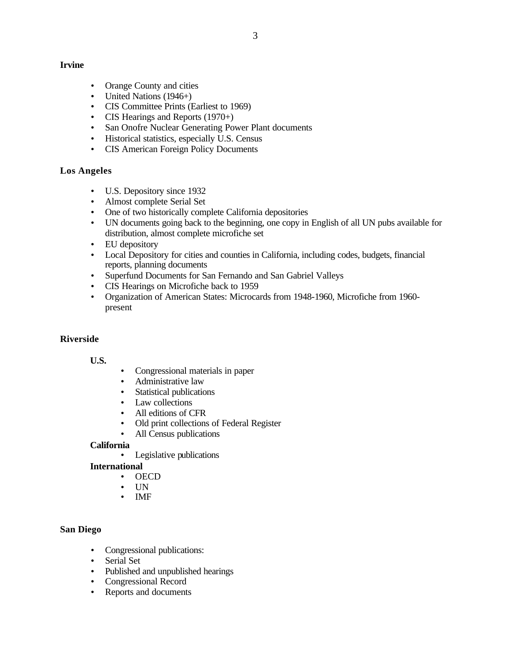# **Irvine**

- Orange County and cities
- United Nations (1946+)
- CIS Committee Prints (Earliest to 1969)
- CIS Hearings and Reports (1970+)
- San Onofre Nuclear Generating Power Plant documents
- Historical statistics, especially U.S. Census
- CIS American Foreign Policy Documents

# **Los Angeles**

- U.S. Depository since 1932
- Almost complete Serial Set
- One of two historically complete California depositories
- UN documents going back to the beginning, one copy in English of all UN pubs available for distribution, almost complete microfiche set
- EU depository
- Local Depository for cities and counties in California, including codes, budgets, financial reports, planning documents
- Superfund Documents for San Fernando and San Gabriel Valleys
- CIS Hearings on Microfiche back to 1959
- Organization of American States: Microcards from 1948-1960, Microfiche from 1960 present

# **Riverside**

## **U.S.**

- Congressional materials in paper
- Administrative law
- Statistical publications
- Law collections
- All editions of CFR
- Old print collections of Federal Register
- All Census publications

# **California**

• Legislative publications

# **International**

- OECD
- UN
- IMF

# **San Diego**

- Congressional publications:
- Serial Set
- Published and unpublished hearings
- Congressional Record
- Reports and documents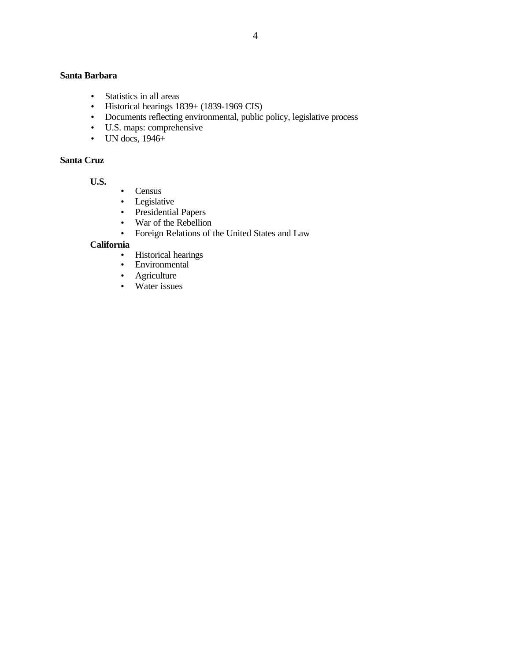# **Santa Barbara**

- Statistics in all areas
- Historical hearings  $1839 + (1839 1969 \text{ CIS})$
- Documents reflecting environmental, public policy, legislative process
- U.S. maps: comprehensive
- $\bullet$  UN docs, 1946+

# **Santa Cruz**

**U.S.**

- Census
- Legislative
- Presidential Papers
- War of the Rebellion
- Foreign Relations of the United States and Law

# **California**

- Historical hearings
- Environmental
- Agriculture
- Water issues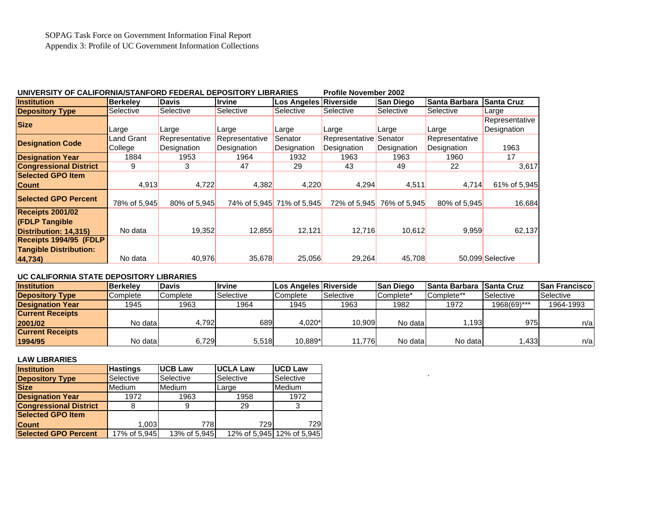## **UNIVERSITY OF CALIFORNIA/STANFORD FEDERAL DEPOSITORY LIBRARIES Profile November 2002**

| <b>Institution</b>            | <b>Berkelev</b> | <b>Davis</b>   | <b>Irvine</b>  | <b>Los Angeles Riverside</b> |                | <b>San Diego</b> | <b>ISanta Barbara</b> | <b>Santa Cruz</b> |
|-------------------------------|-----------------|----------------|----------------|------------------------------|----------------|------------------|-----------------------|-------------------|
| <b>Depository Type</b>        | Selective       | Selective      | Selective      | Selective                    | Selective      | Selective        | Selective             | Large             |
| <b>Size</b>                   |                 |                |                |                              |                |                  |                       | Representative    |
|                               | Large           | Large          | Large          | Large                        | Large          | Large            | Large                 | Designation       |
| <b>Designation Code</b>       | Land Grant      | Representative | Representative | Senator                      | Representative | Senator          | Representative        |                   |
|                               | College         | Designation    | Designation    | Designation                  | Designation    | Designation      | Designation           | 1963              |
| <b>Designation Year</b>       | 1884            | 1953           | 1964           | 1932                         | 1963           | 1963             | 1960                  | 17                |
| <b>Congressional District</b> | 9               | 3              | 47             | 29                           | 43             | 49               | 22                    | 3,617             |
| <b>Selected GPO Item</b>      |                 |                |                |                              |                |                  |                       |                   |
| <b>Count</b>                  | 4,913           | 4,722          | 4,382          | 4,220                        | 4,294          | 4,511            | 4,714                 | 61% of 5,945      |
| <b>Selected GPO Percent</b>   |                 |                |                |                              |                |                  |                       |                   |
|                               | 78% of 5,945    | 80% of 5.945   |                | 74% of 5.945 71% of 5.945    | 72% of 5.945   | 76% of 5,945     | 80% of 5.945          | 16,684            |
| <b>Receipts 2001/02</b>       |                 |                |                |                              |                |                  |                       |                   |
| <b>(FDLP Tangible</b>         |                 |                |                |                              |                |                  |                       |                   |
| Distribution: 14,315)         | No data         | 19,352         | 12,855         | 12,121                       | 12,716         | 10,612           | 9,959                 | 62,137            |
| Receipts 1994/95 (FDLP        |                 |                |                |                              |                |                  |                       |                   |
| <b>Tangible Distribution:</b> |                 |                |                |                              |                |                  |                       |                   |
| 44,734)                       | No data         | 40,976         | 35,678         | 25,056                       | 29,264         | 45,708           |                       | 50,099 Selective  |

## **UC CALIFORNIA STATE DEPOSITORY LIBRARIES**

| <b>Institution</b>      | <b>Berkelev</b> | <b>IDavis</b> | <b>Ilrvine</b> | <b>ILos Angeles Riverside</b> |           | <b>San Diego</b>      | ISanta Barbara <i>ISanta</i> Cruz |             | <b>ISan Francisco</b> l |
|-------------------------|-----------------|---------------|----------------|-------------------------------|-----------|-----------------------|-----------------------------------|-------------|-------------------------|
| <b>Depository Type</b>  | <b>Complete</b> | Complete      | Selective      | <b>Complete</b>               | Selective | Complete <sup>*</sup> | Complete**                        | Selective   | Selective               |
| <b>Designation Year</b> | 1945            | 1963          | 1964           | 1945                          | 1963      | 1982                  | 1972                              | 1968(69)*** | 1964-1993               |
| <b>Current Receipts</b> |                 |               |                |                               |           |                       |                                   |             |                         |
| 2001/02                 | No datal        | 4.792         | 689            | 4.020*                        | 10.909    | No datal              | .193                              | 975         | n/a                     |
| <b>Current Receipts</b> |                 |               |                |                               |           |                       |                                   |             |                         |
| 1994/95                 | No datal        | 6,729         | 5,518          | 10.889*                       | 11,776    | No data               | No data                           | .433        | n/a                     |

### **LAW LIBRARIES**

| <b>Institution</b>            | <b>Hastings</b>                | <b>IUCB Law</b> | <b>UCLA Law</b> | <b>UCD Law</b>            |  |
|-------------------------------|--------------------------------|-----------------|-----------------|---------------------------|--|
| <b>Depository Type</b>        | Selective                      | Selective       | Selective       | Selective                 |  |
| <b>Size</b>                   | <b>Medium</b><br><b>Medium</b> |                 | Large           | Medium                    |  |
| <b>Designation Year</b>       | 1972                           | 1963            | 1958            | 1972                      |  |
| <b>Congressional District</b> |                                |                 | 29              |                           |  |
| <b>Selected GPO Item</b>      |                                |                 |                 |                           |  |
| <b>Count</b>                  | .003                           | 778             | 729             | 729                       |  |
| <b>Selected GPO Percent</b>   | 17% of 5,945                   | 13% of 5,945    |                 | 12% of 5,945 12% of 5,945 |  |